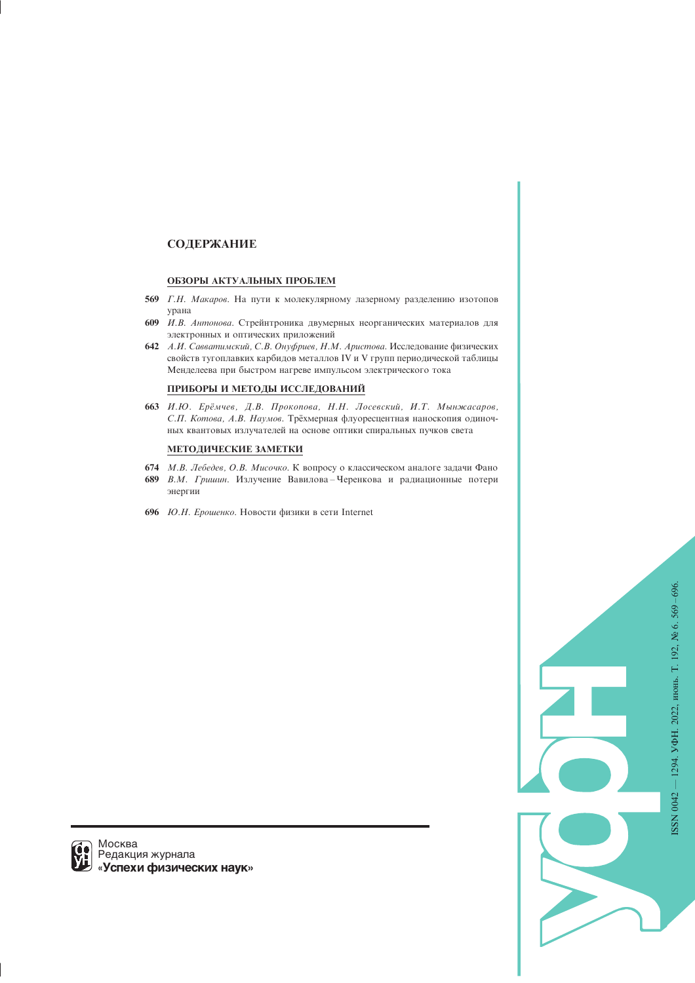# СОДЕРЖАНИЕ

### ОБЗОРЫ АКТУАЛЬНЫХ ПРОБЛЕМ

- 569 Г.Н. Макаров. На пути к молекулярному лазерному разделению изотопов yрана
- 609 И.В. Антонова. Стрейнтроника двумерных неорганических материалов для электронных и оптических приложений
- 642 А.И. Савватимский, С.В. Онуфриев, Н.М. Аристова. Исследование физических свойств тугоплавких карбидов металлов IV и V групп периодической таблицы Менделеева при быстром нагреве импульсом электрического тока

# ПРИБОРЫ И МЕТОДЫ ИССЛЕДОВАНИЙ

663 И.Ю. Ерёмчев, Д.В. Прокопова, Н.Н. Лосевский, И.Т. Мынжасаров, С.П. Котова, А.В. Наумов. Трёхмерная флуоресцентная наноскопия одиночных квантовых излучателей на основе оптики спиральных пучков света

# МЕТОДИЧЕСКИЕ ЗАМЕТКИ

- 674 М.В. Лебедев, О.В. Мисочко. К вопросу о классическом аналоге задачи Фано
- 689 В.М. Гришин. Излучение Вавилова-Черенкова и радиационные потери энергии
- 696 *Ю.Н. Ерошенко*. Новости физики в сети Internet

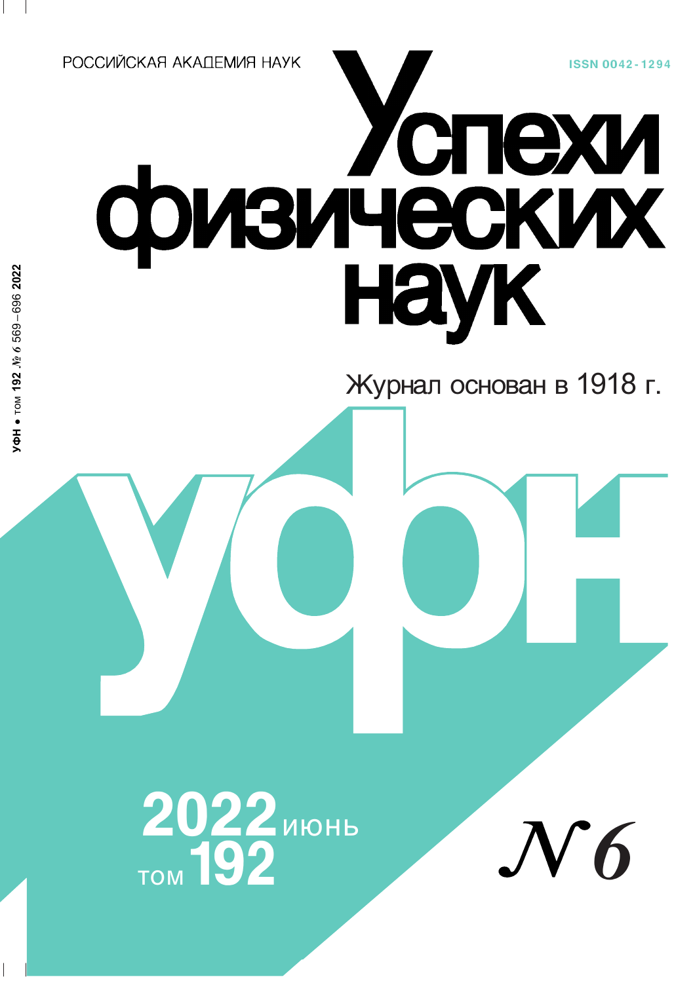**ISSN 0042-1294** 

РОССИЙСКАЯ АКАПЕМИЯ НАУК

# физических

Журнал основан в 1918 г.

2022 MIOHD

 $\boldsymbol{6}$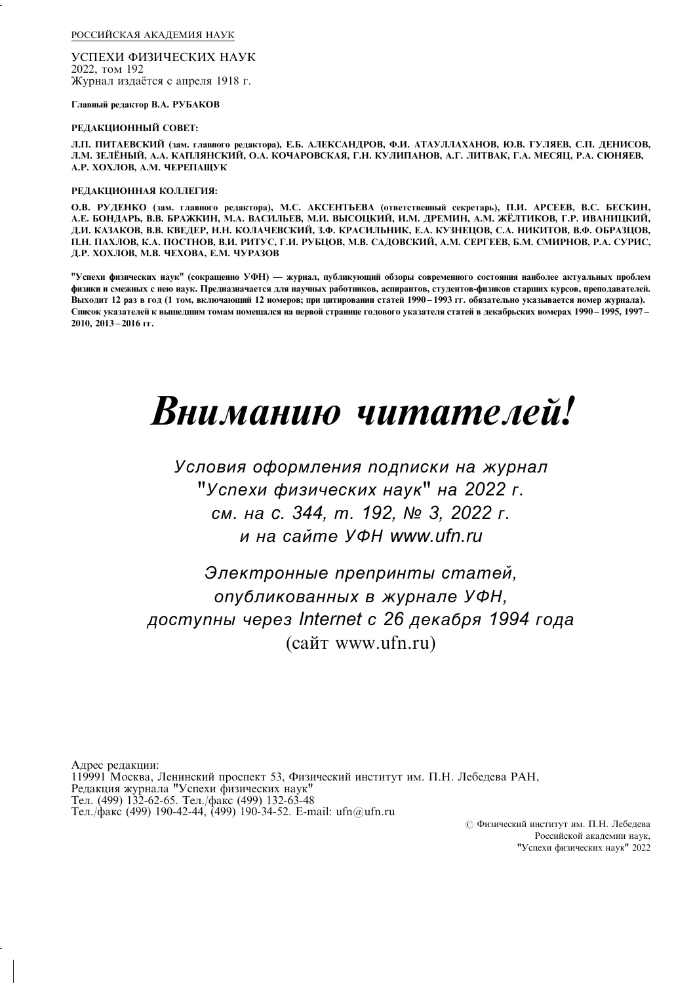РОССИЙСКАЯ АКАДЕМИЯ НАУК

УСПЕХИ ФИЗИЧЕСКИХ НАУК 2022, том 192 Журнал издаётся с апреля 1918 г.

Главный редактор В.А. РУБАКОВ

### РЕДАКЦИОННЫЙ СОВЕТ:

Л.П. ПИТАЕВСКИЙ (зам. главного редактора), Е.Б. АЛЕКСАНДРОВ, Ф.И. АТАУЛЛАХАНОВ, Ю.В. ГУЛЯЕВ, С.П. ДЕНИСОВ, Л.М. ЗЕЛЁНЫЙ, А.А. КАПЛЯНСКИЙ, О.А. КОЧАРОВСКАЯ, Г.Н. КУЛИПАНОВ, А.Г. ЛИТВАК, Г.А. МЕСЯЦ, Р.А. СЮНЯЕВ, А.Р. ХОХЛОВ, А.М. ЧЕРЕПАЩУК

# РЕДАКЦИОННАЯ КОЛЛЕГИЯ:

О.В. РУДЕНКО (зам. главного редактора), М.С. АКСЕНТЬЕВА (ответственный секретарь), П.И. АРСЕЕВ, В.С. БЕСКИН, А.Е. БОНДАРЬ, В.В. БРАЖКИН, М.А. ВАСИЛЬЕВ, М.И. ВЫСОЦКИЙ, И.М. ДРЕМИН, А.М. ЖЁЛТИКОВ, Г.Р. ИВАНИЦКИЙ, Д.И. КАЗАКОВ, В.В. КВЕДЕР, Н.Н. КОЛАЧЕВСКИЙ, З.Ф. КРАСИЛЬНИК, Е.А. КУЗНЕЦОВ, С.А. НИКИТОВ, В.Ф. ОБРАЗЦОВ, П.Н. ПАХЛОВ, К.А. ПОСТНОВ, В.И. РИТУС, Г.И. РУБЦОВ, М.В. САДОВСКИЙ, А.М. СЕРГЕЕВ, Б.М. СМИРНОВ, Р.А. СУРИС, Д.Р. ХОХЛОВ, М.В. ЧЕХОВА, Е.М. ЧУРАЗОВ

"Успехи физических наук" (сокращенно УФН) — журнал, публикующий обзоры современного состояния наиболее актуальных проблем физики и смежных с нею наук. Предназначается для научных работников, аспирантов, студентов-физиков старших курсов, преподавателей. Выходит 12 раз в год (1 том, включающий 12 номеров; при цитировании статей 1990-1993 гг. обязательно указывается номер журнала). Список указателей к вышедшим томам помещался на первой странице годового указателя статей в декабрьских номерах 1990-1995, 1997-2010, 2013-2016 гг.

# Вниманию читателей!

Условия оформления подписки на журнал "Успехи физических наук" на 2022 г. см. на с. 344, т. 192, № 3, 2022 г. и на сайте УФН www.ufn.ru

Электронные препринты статей, опубликованных в журнале УФН, доступны через Internet с 26 декабря 1994 года (сайт www.ufn.ru)

Адрес редакции: 119991 Москва, Ленинский проспект 53, Физический институт им. П.Н. Лебедева РАН, Редакция журнала "Успехи физических наук" Тел. (499) 132-62-65. Тел./факс (499) 132-63-48 Тел./факс (499) 190-42-44, (499) 190-34-52. E-mail: ufn@ufn.ru

© Физический институт им. П.Н. Лебедева Российской акалемии наук. "Успехи физических наук" 2022